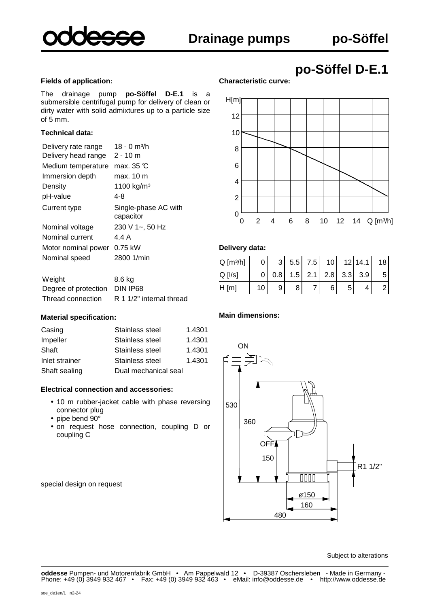

#### **Fields of application:**

The drainage pump **po-Söffel D-E.1** is a submersible centrifugal pump for delivery of clean or dirty water with solid admixtures up to a particle size of 5 mm.

#### **Technical data:**

| Delivery rate range  | 18 - 0 m <sup>3</sup> /h          |
|----------------------|-----------------------------------|
| Delivery head range  | 2 - 10 m                          |
| Medium temperature   | max. 35 °C                        |
| Immersion depth      | max. 10 m                         |
| Density              | 1100 kg/m <sup>3</sup>            |
| pH-value             | 4-8                               |
| Current type         | Single-phase AC with<br>capacitor |
| Nominal voltage      | 230 V 1~, 50 Hz                   |
| Nominal current      | 4.4 A                             |
| Motor nominal power  | 0.75 kW                           |
| Nominal speed        | 2800 1/min                        |
| Weight               | 8.6 kg                            |
| Degree of protection | DIN IP68                          |
| Thread connection    | R 1 1/2" internal thread          |

## **po-Söffel D-E.1 Characteristic curve:**



#### **Delivery data:**

| $Q[m^3/h]$ 0 3 5.5 7.5 10 12 14.1 18 |  |  |  |                                                                           |
|--------------------------------------|--|--|--|---------------------------------------------------------------------------|
| $Q$ [l/s]                            |  |  |  | $\begin{bmatrix} 0 & 0.8 & 1.5 & 2.1 & 2.8 & 3.3 & 3.9 & 5 \end{bmatrix}$ |
| H[m]                                 |  |  |  | 10   9   8   7   6   5   4   2                                            |

#### **Material specification:**

| Casing         | Stainless steel      | 1.4301 |
|----------------|----------------------|--------|
| Impeller       | Stainless steel      | 1.4301 |
| Shaft          | Stainless steel      | 1.4301 |
| Inlet strainer | Stainless steel      | 1.4301 |
| Shaft sealing  | Dual mechanical seal |        |

#### **Electrical connection and accessories:**

- 10 m rubber-jacket cable with phase reversing connector plug
- pipe bend 90°
- on request hose connection, coupling D or coupling C

special design on request

#### **Main dimensions:**

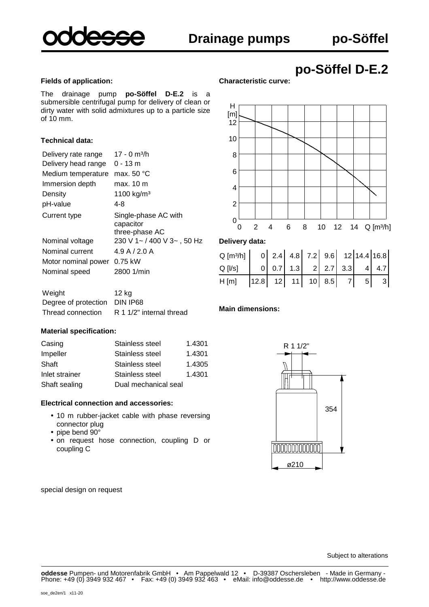

## **po-Söffel D-E.2**

#### **Fields of application:**

The drainage pump **po-Söffel D-E.2** is a submersible centrifugal pump for delivery of clean or dirty water with solid admixtures up to a particle size of 10 mm.

#### **Technical data:**

| Delivery rate range<br>Delivery head range | 17 - 0 m <sup>3</sup> /h<br>0 - 13 m                |
|--------------------------------------------|-----------------------------------------------------|
| Medium temperature                         | max. $50 °C$                                        |
| Immersion depth                            | max. 10 m                                           |
| Density                                    | 1100 kg/m <sup>3</sup>                              |
| pH-value                                   | $4 - 8$                                             |
| Current type                               | Single-phase AC with<br>capacitor<br>three-phase AC |
| Nominal voltage                            | 230 V 1~ / 400 V 3~, 50 Hz                          |
| Nominal current                            | $4.9$ A $/$ 2.0 A                                   |
| Motor nominal power 0.75 kW                |                                                     |
| Nominal speed                              | 2800 1/min                                          |
|                                            |                                                     |

| Weight                        | 12 ka                    |
|-------------------------------|--------------------------|
| Degree of protection DIN IP68 |                          |
| Thread connection             | R 1 1/2" internal thread |

#### **Material specification:**

| Casing         | Stainless steel      | 1.4301 |
|----------------|----------------------|--------|
| Impeller       | Stainless steel      | 1.4301 |
| Shaft          | Stainless steel      | 1.4305 |
| Inlet strainer | Stainless steel      | 1.4301 |
| Shaft sealing  | Dual mechanical seal |        |

#### **Electrical connection and accessories:**

- 10 m rubber-jacket cable with phase reversing connector plug
- pipe bend 90°
- on request hose connection, coupling D or coupling C

special design on request

#### **Characteristic curve:**



#### **Delivery data:**

| $Q \text{ [m3/h]}$ 0 2.4 4.8 7.2 9.6 12 14.4 16.8 |  |  |  |                                                                         |
|---------------------------------------------------|--|--|--|-------------------------------------------------------------------------|
| $Q$ [I/s]                                         |  |  |  | $\begin{vmatrix} 0 & 0.7 & 1.3 & 2 & 2.7 & 3.3 & 4 & 4.7 \end{vmatrix}$ |
| H[m]                                              |  |  |  | $\begin{vmatrix} 12.8 & 12 & 11 & 10 & 8.5 & 7 & 5 & 3 \end{vmatrix}$   |

#### **Main dimensions:**

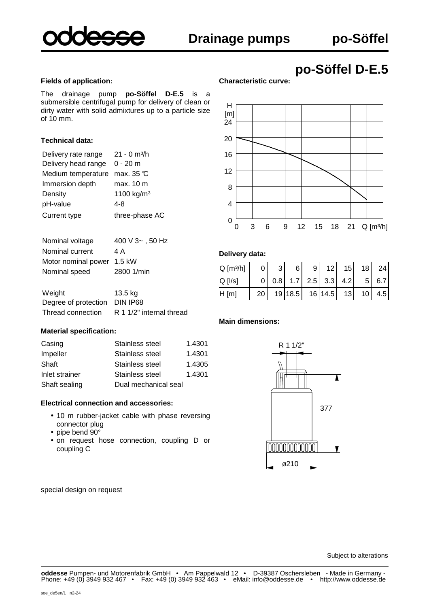

**Characteristic curve:**

## **po-Söffel D-E.5**

#### **Fields of application:**

The drainage pump **po-Söffel D-E.5** is a submersible centrifugal pump for delivery of clean or dirty water with solid admixtures up to a particle size of 10 mm.

#### **Technical data:**

| Delivery rate range | $21 - 0$ m <sup>3</sup> /h |
|---------------------|----------------------------|
| Delivery head range | $0 - 20$ m                 |
| Medium temperature  | max. $35 \text{ C}$        |
| Immersion depth     | max. 10 m                  |
| Density             | 1100 kg/m <sup>3</sup>     |
| pH-value            | 4-8                        |
| Current type        | three-phase AC             |
|                     |                            |

| Nominal voltage            | 400 V 3~, 50 Hz |
|----------------------------|-----------------|
| Nominal current            | 4 A             |
| Motor nominal power 1.5 kW |                 |
| Nominal speed              | 2800 1/min      |
|                            |                 |

Thread connection R 1 1/2" internal thread Degree of protection DIN IP68 Weight 13.5 kg

#### **Material specification:**

| Casing         | Stainless steel      | 1.4301 |
|----------------|----------------------|--------|
| Impeller       | Stainless steel      | 1.4301 |
| Shaft          | Stainless steel      | 1.4305 |
| Inlet strainer | Stainless steel      | 1.4301 |
| Shaft sealing  | Dual mechanical seal |        |

#### **Electrical connection and accessories:**

- 10 m rubber-jacket cable with phase reversing connector plug
- pipe bend 90°
- on request hose connection, coupling D or coupling C

special design on request



#### **Delivery data:**

| $Q \text{ [m3/h]}$ 0 3 6 9 12 15 18 24<br>$Q \text{ [l/s]}$ 0 0.8 1.7 2.5 3.3 4.2 5 6.7 |  |  |  |  |
|-----------------------------------------------------------------------------------------|--|--|--|--|
| H[m]                                                                                    |  |  |  |  |

#### **Main dimensions:**

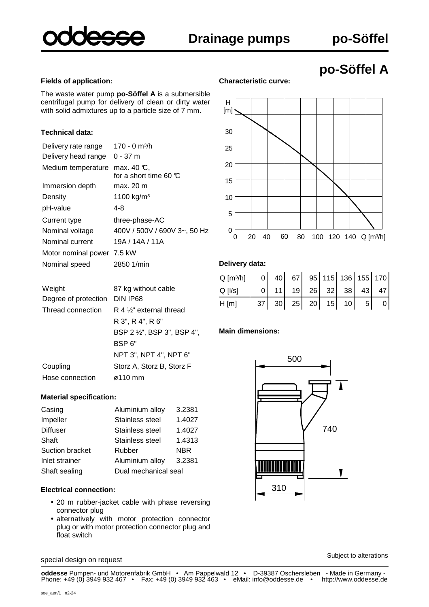

**Characteristic curve:**

# **po-Söffel A**

#### **Fields of application:**

The waste water pump **po-Söffel A** is a submersible centrifugal pump for delivery of clean or dirty water with solid admixtures up to a particle size of 7 mm.

#### **Technical data:**

| Delivery rate range        | 170 - 0 m <sup>3</sup> /h                     |
|----------------------------|-----------------------------------------------|
| Delivery head range        | 0 - 37 m                                      |
| Medium temperature         | max. 40 ℃,<br>for a short time 60 $\mathbb C$ |
| Immersion depth            | max. 20 m                                     |
| Density                    | 1100 kg/m <sup>3</sup>                        |
| pH-value                   | 4-8                                           |
| Current type               | three-phase-AC                                |
| Nominal voltage            | 400V / 500V / 690V 3~, 50 Hz                  |
| Nominal current            | 19A / 14A / 11A                               |
| Motor nominal power 7.5 kW |                                               |
| Nominal speed              | 2850 1/min                                    |
| Weight                     | 87 kg without cable                           |



#### **Delivery data:**

| $Q \text{ [m3/h]}$ 0 40 67 95 115 136 155 170<br>$Q \text{ [l/s]}$ 0 11 19 26 32 38 43 47 |  |  |  |                                                                     |
|-------------------------------------------------------------------------------------------|--|--|--|---------------------------------------------------------------------|
|                                                                                           |  |  |  |                                                                     |
| H[m]                                                                                      |  |  |  | $\begin{vmatrix} 37 & 30 & 25 & 20 & 15 & 10 & 5 & 0 \end{vmatrix}$ |

#### **Main dimensions:**



| <b>Material specification:</b> |                 |        |  |  |
|--------------------------------|-----------------|--------|--|--|
| Casing                         | Aluminium alloy | 3.2381 |  |  |
| Impeller                       | Stainless steel | 1.4027 |  |  |
| <b>Diffuser</b>                | Stainless steel | 1.4027 |  |  |

Hose connection ø110 mm

Degree of protection DIN IP68

| Stainless steel      | 1.4027 |
|----------------------|--------|
| Stainless steel      | 1.4313 |
| Rubber               | NBR.   |
| Aluminium alloy      | 3.2381 |
| Dual mechanical seal |        |
|                      |        |

Coupling Storz A, Storz B, Storz F

Thread connection  $R_4$  %" external thread

BSP 6"

R 3", R 4", R 6"

NPT 3", NPT 4", NPT 6"

BSP 2 ½", BSP 3", BSP 4",

#### **Electrical connection:**

- 20 m rubber-jacket cable with phase reversing connector plug
- alternatively with motor protection connector plug or with motor protection connector plug and float switch

special design on request

**oddesse** Pumpen- und Motorenfabrik GmbH • Am Pappelwald 12 • D-39387 Oschersleben - Made in Germany - Phone: +49 (0) 3949 932 467 • Fax: +49 (0) 3949 932 463 • eMail: info@oddesse.de • http://www.oddesse.de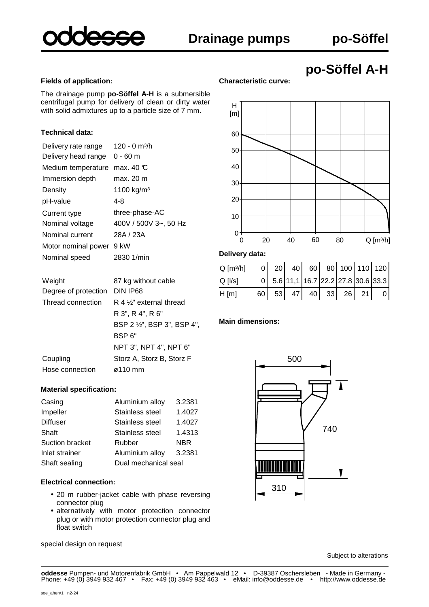**po-Söffel A-H**

#### **Fields of application:**

The drainage pump **po-Söffel A-H** is a submersible centrifugal pump for delivery of clean or dirty water with solid admixtures up to a particle size of 7 mm.

#### **Technical data:**

| Delivery rate range  | 120 - 0 m <sup>3</sup> /h             |
|----------------------|---------------------------------------|
| Delivery head range  | 0 - 60 m                              |
| Medium temperature   | max. $40 \text{ }^{\circ}\text{C}$    |
| Immersion depth      | max. 20 m                             |
| Density              | 1100 kg/m <sup>3</sup>                |
| pH-value             | 4-8                                   |
| Current type         | three-phase-AC                        |
| Nominal voltage      | 400V / 500V 3~, 50 Hz                 |
| Nominal current      | 28A / 23A                             |
| Motor nominal power  | 9 kW                                  |
| Nominal speed        | 2830 1/min                            |
|                      |                                       |
| Weight               | 87 kg without cable                   |
| Degree of protection | DIN IP68                              |
| Thread connection    | R 4 1/ <sub>2</sub> " external thread |
|                      | R 3", R 4", R 6"                      |

|                 | .                           |
|-----------------|-----------------------------|
|                 | BSP 2 1/2", BSP 3", BSP 4", |
|                 | BSP <sub>6</sub> "          |
|                 | NPT 3", NPT 4", NPT 6"      |
| Coupling        | Storz A, Storz B, Storz F   |
| Hose connection | $\varnothing$ 110 mm        |
|                 |                             |

#### **Material specification:**

| Casing          | Aluminium alloy      | 3.2381 |
|-----------------|----------------------|--------|
| Impeller        | Stainless steel      | 1.4027 |
| <b>Diffuser</b> | Stainless steel      | 1.4027 |
| Shaft           | Stainless steel      | 1.4313 |
| Suction bracket | Rubber               | NBR    |
| Inlet strainer  | Aluminium alloy      | 3.2381 |
| Shaft sealing   | Dual mechanical seal |        |

#### **Electrical connection:**

- 20 m rubber-jacket cable with phase reversing connector plug
- alternatively with motor protection connector plug or with motor protection connector plug and float switch

special design on request

### **Characteristic curve:**



| $Q [m^3/h]$ 0 20 40 60 80 100 110 120 |  |  |  |                                                                      |
|---------------------------------------|--|--|--|----------------------------------------------------------------------|
| $Q$ [ $ $ /s]                         |  |  |  | $ 0 $ 5.6 11,1 16.7 22.2 27.8 30.6 33.3                              |
| H[m]                                  |  |  |  | $\begin{vmatrix} 60 & 53 & 47 & 40 & 33 & 26 & 21 & 0 \end{vmatrix}$ |

#### **Main dimensions:**

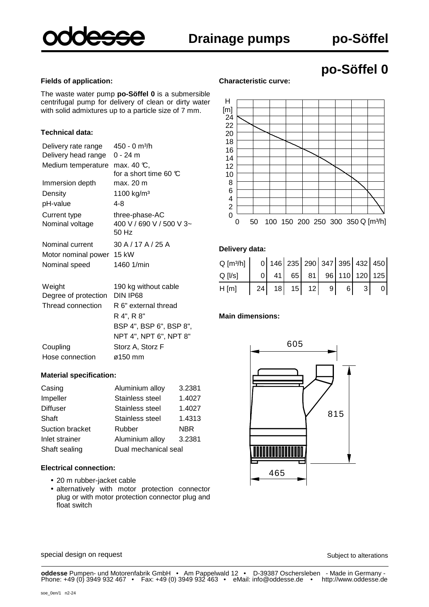**po-Söffel 0**

#### **Fields of application:**

The waste water pump **po-Söffel 0** is a submersible centrifugal pump for delivery of clean or dirty water with solid admixtures up to a particle size of 7 mm.

#### **Technical data:**

| Delivery rate range  | 450 - 0 m <sup>3</sup> /h         |
|----------------------|-----------------------------------|
| Delivery head range  | 0 - 24 m                          |
| Medium temperature   | max. 40 °C,                       |
|                      | for a short time 60 $\mathbb C$   |
| Immersion depth      | max. 20 m                         |
| Density              | 1100 kg/m <sup>3</sup>            |
| pH-value             | 4-8                               |
| Current type         | three-phase-AC                    |
| Nominal voltage      | 400 V / 690 V / 500 V 3~<br>50 Hz |
| Nominal current      | 30 A / 17 A / 25 A                |
| Motor nominal power  | 15 kW                             |
| Nominal speed        | 1460 1/min                        |
| Weight               | 190 kg without cable              |
| Degree of protection | DIN IP68                          |
| Thread connection    | R 6" external thread              |
|                      | R 4", R 8"                        |
|                      | BSP 4", BSP 6", BSP 8",           |
|                      | NPT 4", NPT 6", NPT 8"            |
| Coupling             | Storz A, Storz F                  |
| Hose connection      | ø150 mm                           |

#### **Characteristic curve:**



#### **Delivery data:**

| $Q \text{ [m3/h]}$ 0 146 235 290 347 395 432 450 |  |  |  |                                                                      |
|--------------------------------------------------|--|--|--|----------------------------------------------------------------------|
| $Q$ [I/s]                                        |  |  |  | $0\begin{vmatrix} 41 & 65 & 81 & 96 & 110 & 120 & 125 \end{vmatrix}$ |
| H[m]                                             |  |  |  | $\begin{vmatrix} 24 & 18 & 15 & 12 & 9 & 6 & 3 \end{vmatrix}$        |

#### **Main dimensions:**



# **Material specification:**

| Casing          | Aluminium alloy      | 3.2381     |
|-----------------|----------------------|------------|
| Impeller        | Stainless steel      | 1.4027     |
| <b>Diffuser</b> | Stainless steel      | 1.4027     |
| Shaft           | Stainless steel      | 1.4313     |
| Suction bracket | Rubber               | <b>NBR</b> |
| Inlet strainer  | Aluminium alloy      | 3.2381     |
| Shaft sealing   | Dual mechanical seal |            |

#### **Electrical connection:**

- 20 m rubber-jacket cable
- alternatively with motor protection connector plug or with motor protection connector plug and float switch

special design on request